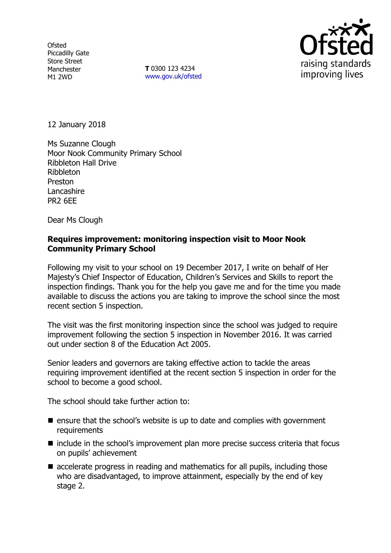**Ofsted** Piccadilly Gate Store Street Manchester M1 2WD

**T** 0300 123 4234 www.gov.uk/ofsted



12 January 2018

Ms Suzanne Clough Moor Nook Community Primary School Ribbleton Hall Drive Ribbleton Preston Lancashire PR2 6EE

Dear Ms Clough

## **Requires improvement: monitoring inspection visit to Moor Nook Community Primary School**

Following my visit to your school on 19 December 2017, I write on behalf of Her Majesty's Chief Inspector of Education, Children's Services and Skills to report the inspection findings. Thank you for the help you gave me and for the time you made available to discuss the actions you are taking to improve the school since the most recent section 5 inspection.

The visit was the first monitoring inspection since the school was judged to require improvement following the section 5 inspection in November 2016. It was carried out under section 8 of the Education Act 2005.

Senior leaders and governors are taking effective action to tackle the areas requiring improvement identified at the recent section 5 inspection in order for the school to become a good school.

The school should take further action to:

- **E** ensure that the school's website is up to date and complies with government requirements
- $\blacksquare$  include in the school's improvement plan more precise success criteria that focus on pupils' achievement
- accelerate progress in reading and mathematics for all pupils, including those who are disadvantaged, to improve attainment, especially by the end of key stage 2.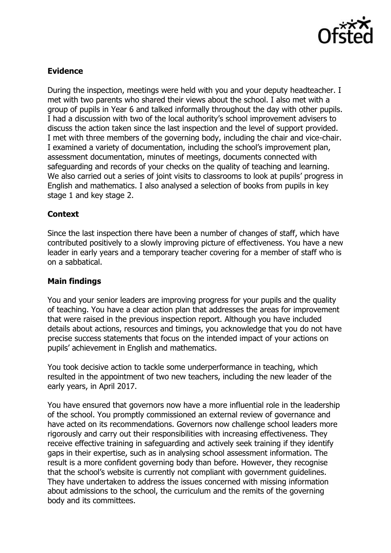

# **Evidence**

During the inspection, meetings were held with you and your deputy headteacher. I met with two parents who shared their views about the school. I also met with a group of pupils in Year 6 and talked informally throughout the day with other pupils. I had a discussion with two of the local authority's school improvement advisers to discuss the action taken since the last inspection and the level of support provided. I met with three members of the governing body, including the chair and vice-chair. I examined a variety of documentation, including the school's improvement plan, assessment documentation, minutes of meetings, documents connected with safeguarding and records of your checks on the quality of teaching and learning. We also carried out a series of joint visits to classrooms to look at pupils' progress in English and mathematics. I also analysed a selection of books from pupils in key stage 1 and key stage 2.

## **Context**

Since the last inspection there have been a number of changes of staff, which have contributed positively to a slowly improving picture of effectiveness. You have a new leader in early years and a temporary teacher covering for a member of staff who is on a sabbatical.

## **Main findings**

You and your senior leaders are improving progress for your pupils and the quality of teaching. You have a clear action plan that addresses the areas for improvement that were raised in the previous inspection report. Although you have included details about actions, resources and timings, you acknowledge that you do not have precise success statements that focus on the intended impact of your actions on pupils' achievement in English and mathematics.

You took decisive action to tackle some underperformance in teaching, which resulted in the appointment of two new teachers, including the new leader of the early years, in April 2017.

You have ensured that governors now have a more influential role in the leadership of the school. You promptly commissioned an external review of governance and have acted on its recommendations. Governors now challenge school leaders more rigorously and carry out their responsibilities with increasing effectiveness. They receive effective training in safeguarding and actively seek training if they identify gaps in their expertise, such as in analysing school assessment information. The result is a more confident governing body than before. However, they recognise that the school's website is currently not compliant with government guidelines. They have undertaken to address the issues concerned with missing information about admissions to the school, the curriculum and the remits of the governing body and its committees.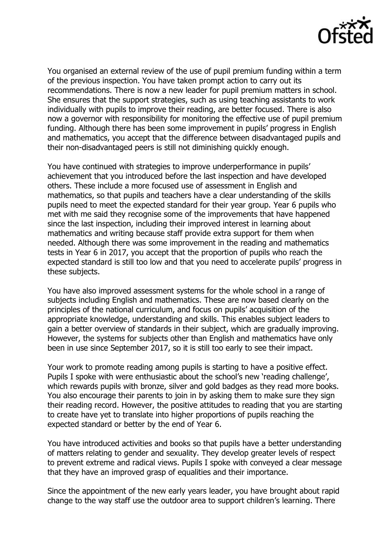

You organised an external review of the use of pupil premium funding within a term of the previous inspection. You have taken prompt action to carry out its recommendations. There is now a new leader for pupil premium matters in school. She ensures that the support strategies, such as using teaching assistants to work individually with pupils to improve their reading, are better focused. There is also now a governor with responsibility for monitoring the effective use of pupil premium funding. Although there has been some improvement in pupils' progress in English and mathematics, you accept that the difference between disadvantaged pupils and their non-disadvantaged peers is still not diminishing quickly enough.

You have continued with strategies to improve underperformance in pupils' achievement that you introduced before the last inspection and have developed others. These include a more focused use of assessment in English and mathematics, so that pupils and teachers have a clear understanding of the skills pupils need to meet the expected standard for their year group. Year 6 pupils who met with me said they recognise some of the improvements that have happened since the last inspection, including their improved interest in learning about mathematics and writing because staff provide extra support for them when needed. Although there was some improvement in the reading and mathematics tests in Year 6 in 2017, you accept that the proportion of pupils who reach the expected standard is still too low and that you need to accelerate pupils' progress in these subjects.

You have also improved assessment systems for the whole school in a range of subjects including English and mathematics. These are now based clearly on the principles of the national curriculum, and focus on pupils' acquisition of the appropriate knowledge, understanding and skills. This enables subject leaders to gain a better overview of standards in their subject, which are gradually improving. However, the systems for subjects other than English and mathematics have only been in use since September 2017, so it is still too early to see their impact.

Your work to promote reading among pupils is starting to have a positive effect. Pupils I spoke with were enthusiastic about the school's new 'reading challenge', which rewards pupils with bronze, silver and gold badges as they read more books. You also encourage their parents to join in by asking them to make sure they sign their reading record. However, the positive attitudes to reading that you are starting to create have yet to translate into higher proportions of pupils reaching the expected standard or better by the end of Year 6.

You have introduced activities and books so that pupils have a better understanding of matters relating to gender and sexuality. They develop greater levels of respect to prevent extreme and radical views. Pupils I spoke with conveyed a clear message that they have an improved grasp of equalities and their importance.

Since the appointment of the new early years leader, you have brought about rapid change to the way staff use the outdoor area to support children's learning. There